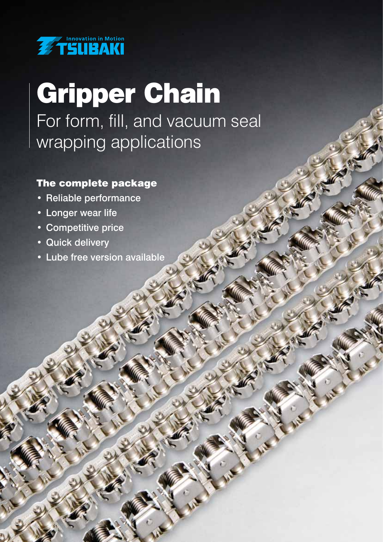

## Gripper Chain For form, fill, and vacuum seal wrapping applications

- $T_{\rm eff}$  and  $T_{\rm eff}$  are complete package package package package package package package package package package package package package package package package package package package package package package package pa • Reliable performance
- Longer wear life
- Competitive price
- Quick delivery
- Lube free version available